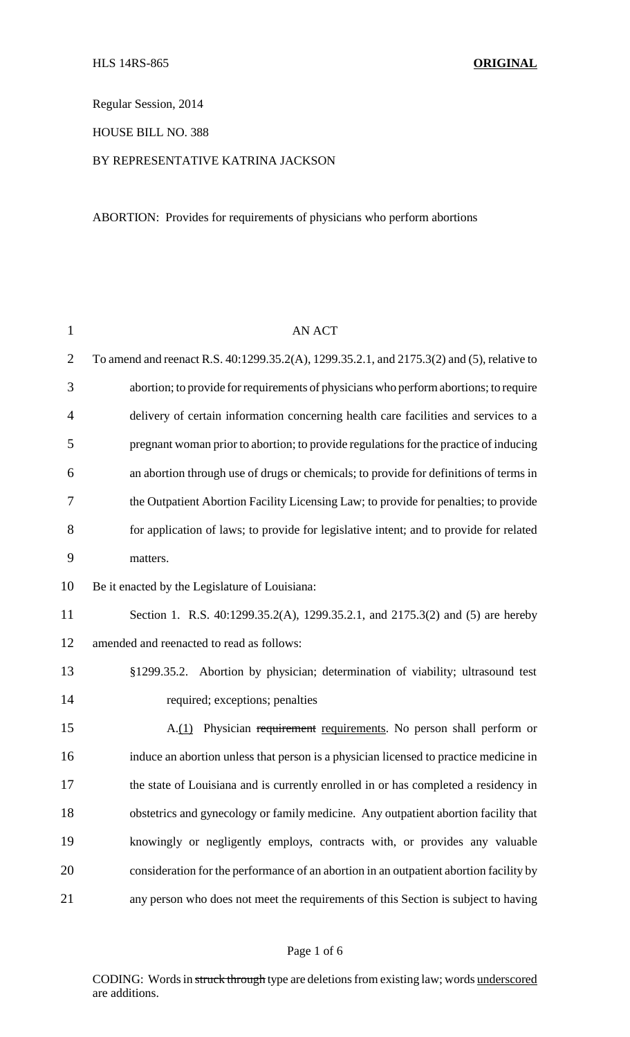Regular Session, 2014

HOUSE BILL NO. 388

## BY REPRESENTATIVE KATRINA JACKSON

ABORTION: Provides for requirements of physicians who perform abortions

| $\mathbf{1}$   | <b>AN ACT</b>                                                                              |
|----------------|--------------------------------------------------------------------------------------------|
| $\overline{2}$ | To amend and reenact R.S. 40:1299.35.2(A), 1299.35.2.1, and 2175.3(2) and (5), relative to |
| 3              | abortion; to provide for requirements of physicians who perform abortions; to require      |
| 4              | delivery of certain information concerning health care facilities and services to a        |
| 5              | pregnant woman prior to abortion; to provide regulations for the practice of inducing      |
| 6              | an abortion through use of drugs or chemicals; to provide for definitions of terms in      |
| 7              | the Outpatient Abortion Facility Licensing Law; to provide for penalties; to provide       |
| 8              | for application of laws; to provide for legislative intent; and to provide for related     |
| 9              | matters.                                                                                   |
| 10             | Be it enacted by the Legislature of Louisiana:                                             |
| 11             | Section 1. R.S. 40:1299.35.2(A), 1299.35.2.1, and 2175.3(2) and (5) are hereby             |
| 12             | amended and reenacted to read as follows:                                                  |
| 13             | §1299.35.2. Abortion by physician; determination of viability; ultrasound test             |
| 14             | required; exceptions; penalties                                                            |
| 15             | A.(1) Physician requirement requirements. No person shall perform or                       |
| 16             | induce an abortion unless that person is a physician licensed to practice medicine in      |
| 17             | the state of Louisiana and is currently enrolled in or has completed a residency in        |
| 18             | obstetrics and gynecology or family medicine. Any outpatient abortion facility that        |
| 19             | knowingly or negligently employs, contracts with, or provides any valuable                 |
| 20             | consideration for the performance of an abortion in an outpatient abortion facility by     |
| 21             | any person who does not meet the requirements of this Section is subject to having         |

CODING: Words in struck through type are deletions from existing law; words underscored are additions.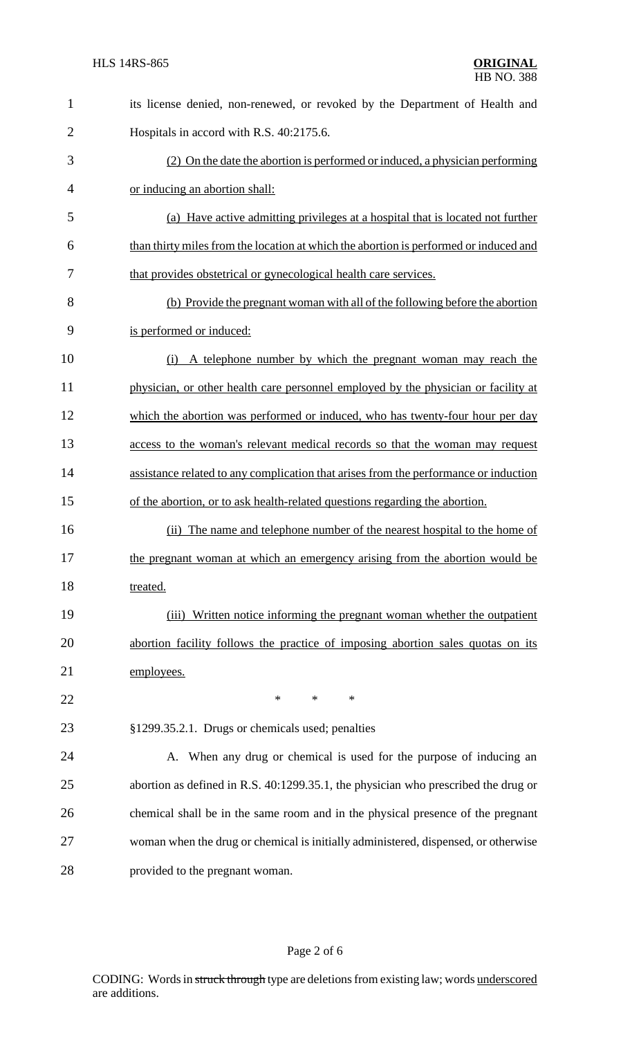| $\mathbf{1}$   | its license denied, non-renewed, or revoked by the Department of Health and           |
|----------------|---------------------------------------------------------------------------------------|
| $\overline{2}$ | Hospitals in accord with R.S. 40:2175.6.                                              |
| 3              | (2) On the date the abortion is performed or induced, a physician performing          |
| $\overline{4}$ | or inducing an abortion shall:                                                        |
| 5              | (a) Have active admitting privileges at a hospital that is located not further        |
| 6              | than thirty miles from the location at which the abortion is performed or induced and |
| 7              | that provides obstetrical or gynecological health care services.                      |
| 8              | (b) Provide the pregnant woman with all of the following before the abortion          |
| 9              | is performed or induced:                                                              |
| 10             | A telephone number by which the pregnant woman may reach the<br>(i)                   |
| 11             | physician, or other health care personnel employed by the physician or facility at    |
| 12             | which the abortion was performed or induced, who has twenty-four hour per day         |
| 13             | access to the woman's relevant medical records so that the woman may request          |
| 14             | assistance related to any complication that arises from the performance or induction  |
| 15             | of the abortion, or to ask health-related questions regarding the abortion.           |
| 16             | (ii) The name and telephone number of the nearest hospital to the home of             |
| 17             | the pregnant woman at which an emergency arising from the abortion would be           |
| 18             | treated.                                                                              |
| 19             | Written notice informing the pregnant woman whether the outpatient<br>(iii)           |
| 20             | abortion facility follows the practice of imposing abortion sales quotas on its       |
| 21             | employees.                                                                            |
| 22             | *<br>$\ast$<br>*                                                                      |
| 23             | §1299.35.2.1. Drugs or chemicals used; penalties                                      |
| 24             | A. When any drug or chemical is used for the purpose of inducing an                   |
| 25             | abortion as defined in R.S. 40:1299.35.1, the physician who prescribed the drug or    |
| 26             | chemical shall be in the same room and in the physical presence of the pregnant       |
| 27             | woman when the drug or chemical is initially administered, dispensed, or otherwise    |
| 28             | provided to the pregnant woman.                                                       |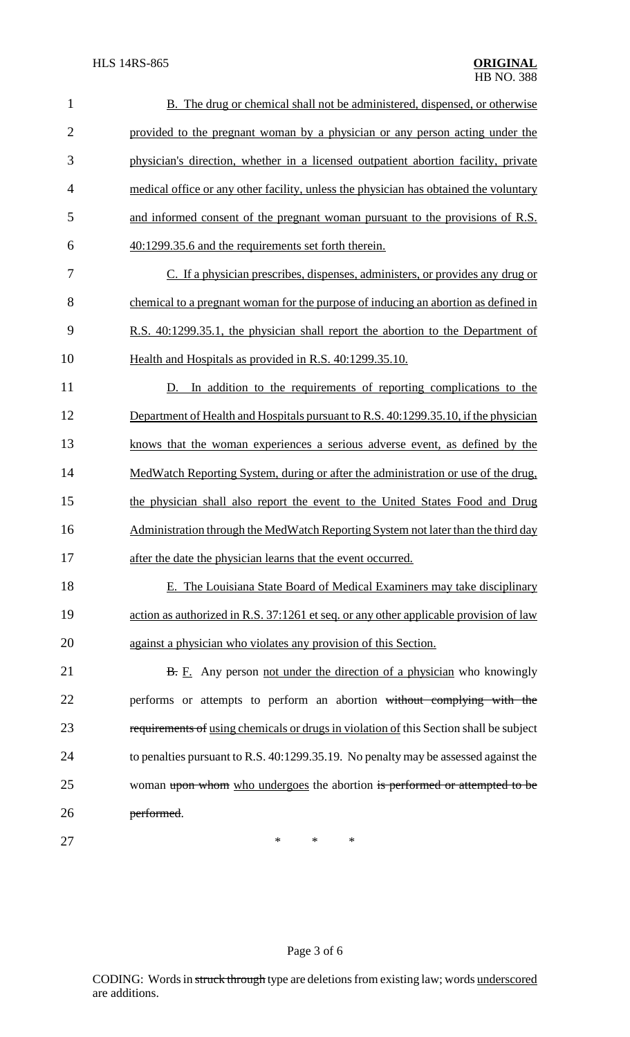| $\mathbf{1}$   | <b>B.</b> The drug or chemical shall not be administered, dispensed, or otherwise      |
|----------------|----------------------------------------------------------------------------------------|
| $\overline{2}$ | provided to the pregnant woman by a physician or any person acting under the           |
| 3              | physician's direction, whether in a licensed outpatient abortion facility, private     |
| $\overline{4}$ | medical office or any other facility, unless the physician has obtained the voluntary  |
| 5              | and informed consent of the pregnant woman pursuant to the provisions of R.S.          |
| 6              | 40:1299.35.6 and the requirements set forth therein.                                   |
| $\overline{7}$ | C. If a physician prescribes, dispenses, administers, or provides any drug or          |
| 8              | chemical to a pregnant woman for the purpose of inducing an abortion as defined in     |
| 9              | R.S. 40:1299.35.1, the physician shall report the abortion to the Department of        |
| 10             | Health and Hospitals as provided in R.S. 40:1299.35.10.                                |
| 11             | In addition to the requirements of reporting complications to the<br>D.                |
| 12             | Department of Health and Hospitals pursuant to R.S. 40:1299.35.10, if the physician    |
| 13             | knows that the woman experiences a serious adverse event, as defined by the            |
| 14             | MedWatch Reporting System, during or after the administration or use of the drug,      |
| 15             | the physician shall also report the event to the United States Food and Drug           |
| 16             | Administration through the MedWatch Reporting System not later than the third day      |
| 17             | after the date the physician learns that the event occurred.                           |
| 18             | E. The Louisiana State Board of Medical Examiners may take disciplinary                |
| 19             | action as authorized in R.S. 37:1261 et seq. or any other applicable provision of law  |
| 20             | against a physician who violates any provision of this Section.                        |
| 21             | <b>B.</b> E. Any person not under the direction of a physician who knowingly           |
| 22             | performs or attempts to perform an abortion without complying with the                 |
| 23             | requirements of using chemicals or drugs in violation of this Section shall be subject |
| 24             | to penalties pursuant to R.S. 40:1299.35.19. No penalty may be assessed against the    |
| 25             | woman upon whom who undergoes the abortion is performed or attempted to be             |
| 26             | performed.                                                                             |
| 27             | $\ast$<br>*<br>∗                                                                       |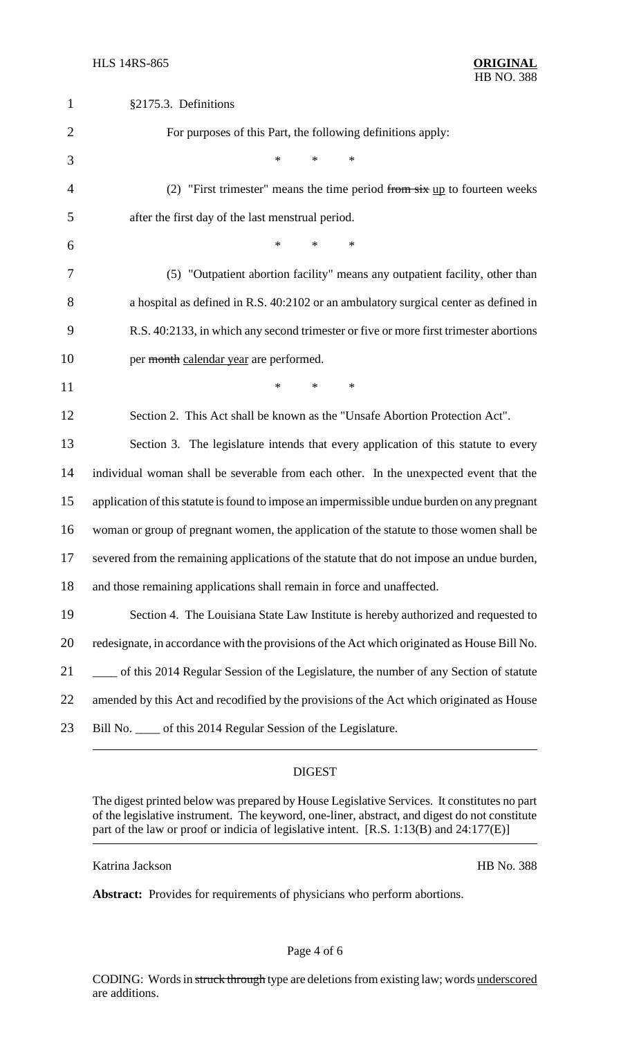| $\mathbf{1}$   | §2175.3. Definitions                                                                         |
|----------------|----------------------------------------------------------------------------------------------|
| $\overline{2}$ | For purposes of this Part, the following definitions apply:                                  |
| 3              | $\ast$<br>*<br>$\ast$                                                                        |
| 4              | (2) "First trimester" means the time period from $s\overline{x}$ up to fourteen weeks        |
| 5              | after the first day of the last menstrual period.                                            |
| 6              | $\ast$<br>$\ast$<br>$\ast$                                                                   |
| 7              | (5) "Outpatient abortion facility" means any outpatient facility, other than                 |
| 8              | a hospital as defined in R.S. 40:2102 or an ambulatory surgical center as defined in         |
| 9              | R.S. 40:2133, in which any second trimester or five or more first trimester abortions        |
| 10             | per month calendar year are performed.                                                       |
| 11             | $\ast$<br>$\ast$<br>$\ast$                                                                   |
| 12             | Section 2. This Act shall be known as the "Unsafe Abortion Protection Act".                  |
| 13             | Section 3. The legislature intends that every application of this statute to every           |
| 14             | individual woman shall be severable from each other. In the unexpected event that the        |
| 15             | application of this statute is found to impose an impermissible undue burden on any pregnant |
| 16             | woman or group of pregnant women, the application of the statute to those women shall be     |
| 17             | severed from the remaining applications of the statute that do not impose an undue burden,   |
| 18             | and those remaining applications shall remain in force and unaffected.                       |
| 19             | Section 4. The Louisiana State Law Institute is hereby authorized and requested to           |
| 20             | redesignate, in accordance with the provisions of the Act which originated as House Bill No. |
| 21             | of this 2014 Regular Session of the Legislature, the number of any Section of statute        |
| 22             | amended by this Act and recodified by the provisions of the Act which originated as House    |
| 23             | Bill No. _____ of this 2014 Regular Session of the Legislature.                              |

## DIGEST

The digest printed below was prepared by House Legislative Services. It constitutes no part of the legislative instrument. The keyword, one-liner, abstract, and digest do not constitute part of the law or proof or indicia of legislative intent. [R.S. 1:13(B) and 24:177(E)]

Katrina Jackson HB No. 388

**Abstract:** Provides for requirements of physicians who perform abortions.

Page 4 of 6

CODING: Words in struck through type are deletions from existing law; words underscored are additions.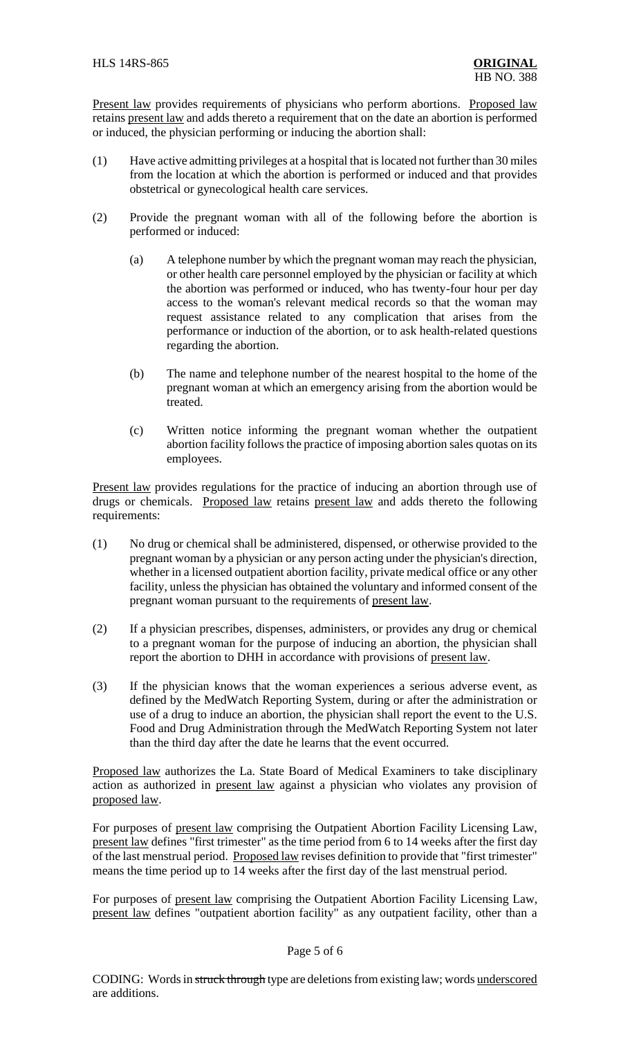Present law provides requirements of physicians who perform abortions. Proposed law retains present law and adds thereto a requirement that on the date an abortion is performed or induced, the physician performing or inducing the abortion shall:

- (1) Have active admitting privileges at a hospital that is located not further than 30 miles from the location at which the abortion is performed or induced and that provides obstetrical or gynecological health care services.
- (2) Provide the pregnant woman with all of the following before the abortion is performed or induced:
	- (a) A telephone number by which the pregnant woman may reach the physician, or other health care personnel employed by the physician or facility at which the abortion was performed or induced, who has twenty-four hour per day access to the woman's relevant medical records so that the woman may request assistance related to any complication that arises from the performance or induction of the abortion, or to ask health-related questions regarding the abortion.
	- (b) The name and telephone number of the nearest hospital to the home of the pregnant woman at which an emergency arising from the abortion would be treated.
	- (c) Written notice informing the pregnant woman whether the outpatient abortion facility follows the practice of imposing abortion sales quotas on its employees.

Present law provides regulations for the practice of inducing an abortion through use of drugs or chemicals. Proposed law retains present law and adds thereto the following requirements:

- (1) No drug or chemical shall be administered, dispensed, or otherwise provided to the pregnant woman by a physician or any person acting under the physician's direction, whether in a licensed outpatient abortion facility, private medical office or any other facility, unless the physician has obtained the voluntary and informed consent of the pregnant woman pursuant to the requirements of present law.
- (2) If a physician prescribes, dispenses, administers, or provides any drug or chemical to a pregnant woman for the purpose of inducing an abortion, the physician shall report the abortion to DHH in accordance with provisions of present law.
- (3) If the physician knows that the woman experiences a serious adverse event, as defined by the MedWatch Reporting System, during or after the administration or use of a drug to induce an abortion, the physician shall report the event to the U.S. Food and Drug Administration through the MedWatch Reporting System not later than the third day after the date he learns that the event occurred.

Proposed law authorizes the La. State Board of Medical Examiners to take disciplinary action as authorized in present law against a physician who violates any provision of proposed law.

For purposes of present law comprising the Outpatient Abortion Facility Licensing Law, present law defines "first trimester" as the time period from 6 to 14 weeks after the first day of the last menstrual period. Proposed law revises definition to provide that "first trimester" means the time period up to 14 weeks after the first day of the last menstrual period.

For purposes of present law comprising the Outpatient Abortion Facility Licensing Law, present law defines "outpatient abortion facility" as any outpatient facility, other than a

## Page 5 of 6